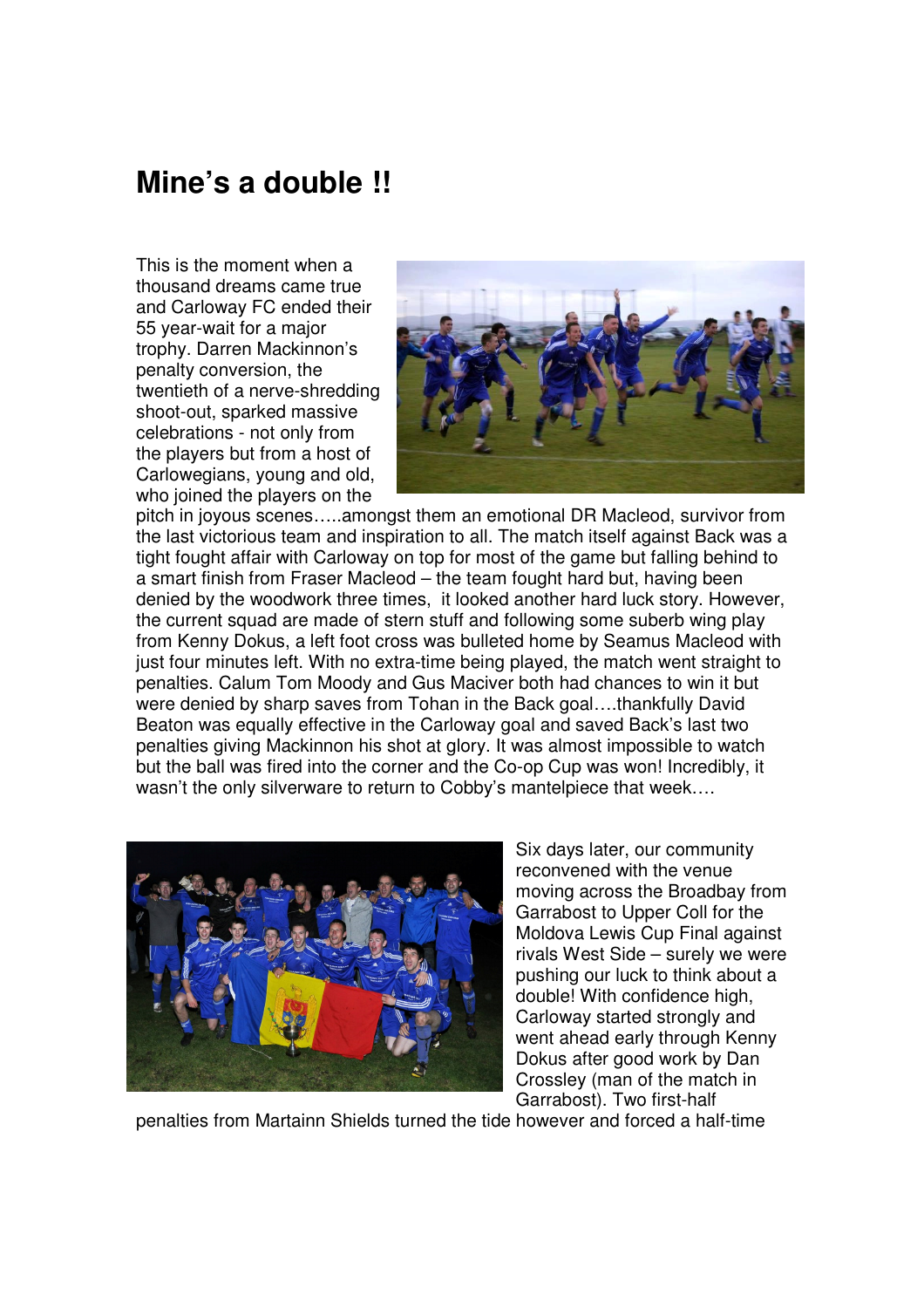## **Mine's a double !!**

This is the moment when a thousand dreams came true and Carloway FC ended their 55 year-wait for a major trophy. Darren Mackinnon's penalty conversion, the twentieth of a nerve-shredding shoot-out, sparked massive celebrations - not only from the players but from a host of Carlowegians, young and old, who joined the players on the



pitch in joyous scenes…..amongst them an emotional DR Macleod, survivor from the last victorious team and inspiration to all. The match itself against Back was a tight fought affair with Carloway on top for most of the game but falling behind to a smart finish from Fraser Macleod – the team fought hard but, having been denied by the woodwork three times, it looked another hard luck story. However, the current squad are made of stern stuff and following some suberb wing play from Kenny Dokus, a left foot cross was bulleted home by Seamus Macleod with just four minutes left. With no extra-time being played, the match went straight to penalties. Calum Tom Moody and Gus Maciver both had chances to win it but were denied by sharp saves from Tohan in the Back goal....thankfully David Beaton was equally effective in the Carloway goal and saved Back's last two penalties giving Mackinnon his shot at glory. It was almost impossible to watch but the ball was fired into the corner and the Co-op Cup was won! Incredibly, it wasn't the only silverware to return to Cobby's mantelpiece that week….



Six days later, our community reconvened with the venue moving across the Broadbay from Garrabost to Upper Coll for the Moldova Lewis Cup Final against rivals West Side – surely we were pushing our luck to think about a double! With confidence high, Carloway started strongly and went ahead early through Kenny Dokus after good work by Dan Crossley (man of the match in Garrabost). Two first-half

penalties from Martainn Shields turned the tide however and forced a half-time